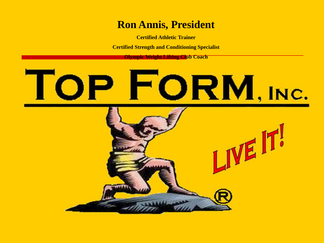#### **Ron Annis, President**

**Certified Athletic Trainer**

**Certified Strength and Conditioning Specialist**

**Olympic Weight Lifting Club Coach**

# "ORM, INC.

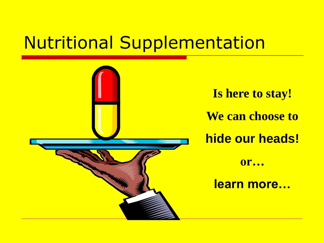# Nutritional Supplementation

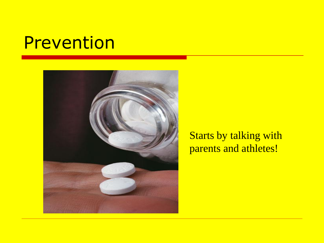#### Prevention



#### Starts by talking with parents and athletes!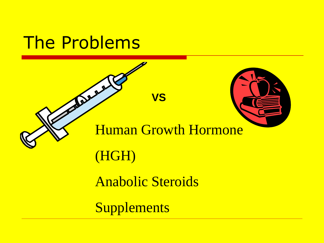#### The Problems

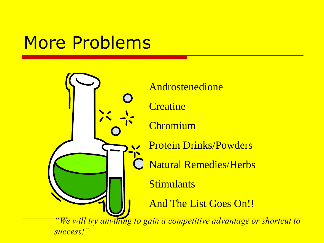# More Problems

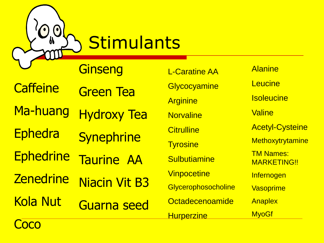**Stimulants** 

**Ginseng** 

**Caffeine** Green Tea

Ma-huang Hydroxy Tea

**Ephedra Synephrine** 

**Ephedrine** Taurine AA

**Zenedrine** Niacin Vit B3

Kola Nut Guarna seed

L-Caratine AA **Glycocyamine Arginine Norvaline Citrulline Tyrosine Sulbutiamine Vinpocetine Glycerophosocholine Octadecenoamide Hurperzine** 

**Alanine Leucine Isoleucine Valine** Acetyl-Cysteine **Methoxytrytamine** TM Names: MARKETING!! **Infernogen Vasoprime Anaplex MyoGf** 

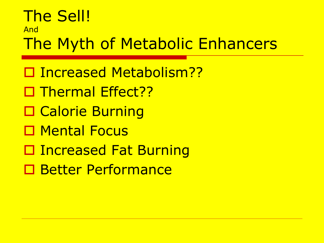#### The Sell! And The Myth of Metabolic Enhancers

□ Increased Metabolism?? □ Thermal Effect?? □ Calorie Burning □ Mental Focus □ Increased Fat Burning □ Better Performance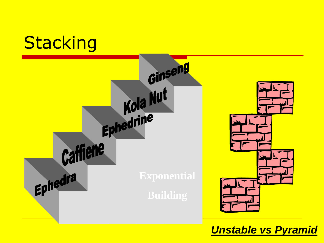

*Unstable vs Pyramid*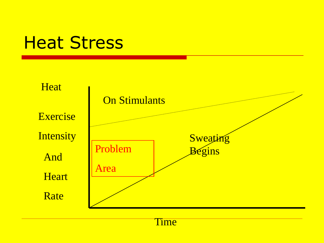#### Heat Stress



Time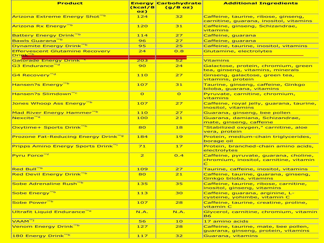| <b>Product</b>                                   | <b>Energy</b><br>(kcal/8<br>oz) | <b>Carbohydrate</b><br>(g/8 oz) | <b>Additional Ingredients</b>                                                                     |
|--------------------------------------------------|---------------------------------|---------------------------------|---------------------------------------------------------------------------------------------------|
| <b>Arizona Extreme Energy Shot</b> <sup>™b</sup> | 124                             | 32                              | Caffeine, taurine, ribose, ginseng,<br>carnitine, guarana, inositol, vitamins                     |
| Arizona Rx Energy <sup>™b</sup>                  | 120                             | 31                              | Caffeine, ginseng, Schizandrae,<br>vitamins                                                       |
| Battery Energy Drink™b                           | 114                             | 27                              | Caffeine, guarana                                                                                 |
| <mark>Bawls Guarana<sup>mb</sup></mark>          | 96                              | 27                              | Caffeine, guarana                                                                                 |
| Dynamite Energy Drink <sup>™b</sup>              | 95                              | 25                              | Caffeine, taurine, inositol, vitamins                                                             |
| <b>Effervescent Glutamine Recovery</b>           | 24                              | 0.8                             | Glutamine, electrolytes                                                                           |
| <mark>Drink™h</mark>                             |                                 |                                 |                                                                                                   |
| <mark>Gatorade Energy Drink"</mark>              | 203                             | 52                              | <b>Vitamins</b>                                                                                   |
| <mark>G3 Endurance™<sup>d</sup></mark>           | 90                              | 24                              | Galactose, protein, chromium, green<br>tea, ginseng, vitamins, minerals                           |
| <mark>G4 Recovery™<sup>d</sup></mark>            | 110                             | 27                              | Ginseng, galactose, green tea,<br><u>vitamins, protein</u>                                        |
| Hansen?s Energy <sup>™b</sup>                    | 107                             | 31                              | Taurine, ginseng, caffeine, Ginkgo<br>biloba, guarana, vitamins                                   |
| Hansen?s Slimdown <sup>™c</sup>                  | $\overline{O}$                  | $\overline{O}$                  | Pyruvate, carnitine, chromium,<br>vitamins                                                        |
| Jones Whoop Ass Energy <sup>™b</sup>             | 107                             | 27                              | Caffeine, royal jelly, guarana, taurine,<br>inositol, vitamins                                    |
| Mad River Energy Hammer <sup>™b</sup>            | 110                             | 27                              | Guarana, ginseng, bee pollen                                                                      |
| Nexcite <sup>™a</sup>                            | 100                             | 21                              | Guarana, damiana, Schizandrae,<br>mate, ginseng, caffeine                                         |
| Oxytime+ Sports Drink <sup>™h</sup>              | 80                              | 18                              | "Stabilized oxygen," carnitine, aloe<br>vera, protein                                             |
| Prozone Fat-Reducing Energy Drink <sup>™g</sup>  | 184                             | 19                              | Protein, medium-chain triglycerides,<br>borage oil                                                |
| Pripps Amino Energy Sports Drink <sup>mi</sup>   | 71                              | 17                              | <u>Protein, branched-chain amino acids,</u><br>electrolytes                                       |
| Pyru Force <sup>™f</sup>                         | $\overline{2}$                  | O.4                             | Caffeine, pyruvate, guarana, choline,<br>chromium, inositol, carnitine, vitamin<br>$\overline{C}$ |
| Red Bull <sup>™b</sup>                           | 109                             | 27                              | Taurine, caffeine, inositol, vitamins                                                             |
| Red Devil Energy Drink <sup>™b</sup>             | 80                              | 21                              | Caffeine, taurine, guarana, ginseng,<br>Ginkgo biloba, vitamins                                   |
| Sobe Adrenaline Rush™ <sup>b</sup>               | 135                             | 35                              | Caffeine, taurine, ribose, carnitine,<br>inositol, ginseng, vitamins                              |
| <mark>Sobe Energy™<sup>b</sup></mark>            | 113                             | 30                              | Caffeine, guarana, arginine, L-<br>cysteine, yohimbe, vitamin C                                   |
| <mark>Sobe Power™<sup>b</sup></mark>             | 10/                             | 28                              | <u>Caffeine, taurine, creatine, proline, </u><br><u>vitamin C</u>                                 |
| Ultrafit Liquid Endurance <sup>™e</sup>          | N.A.                            | N.A.                            | Glycerol, carnitine, chromium, vitamin<br><b>B6</b>                                               |
| VAAM <sup>TMJ</sup>                              | 56                              | 10                              | 17 amino acids                                                                                    |
| <mark>Venom Energy Drink<sup>™b</sup></mark>     | 127                             | 28                              | Caffeine, taurine, mate, bee pollen,<br>guarana, ginseng, protein, vitamins                       |
| 180 Energy Drink <sup>™b</sup>                   | $117$                           | 32                              | Guarana, vitamins                                                                                 |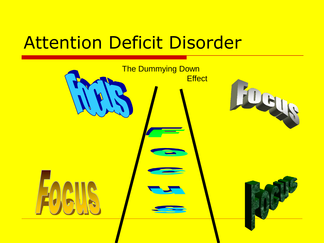# Attention Deficit Disorder

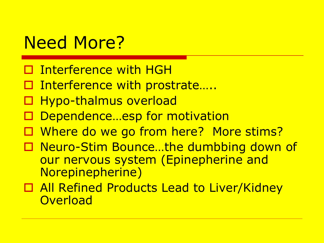# Need More?

- □ Interference with HGH
- □ Interference with prostrate....
- □ Hypo-thalmus overload
- □ Dependence...esp for motivation
- □ Where do we go from here? More stims?
- □ Neuro-Stim Bounce...the dumbbing down of our nervous system (Epinepherine and Norepinepherine)
- □ All Refined Products Lead to Liver/Kidney **Overload**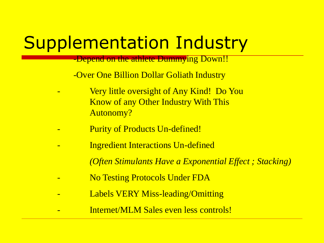# Supplementation Industry

-Depend on the athlete Dummying Down!!

-Over One Billion Dollar Goliath Industry

- Very little oversight of Any Kind! Do You Know of any Other Industry With This Autonomy?
- Purity of Products Un-defined!
- Ingredient Interactions Un-defined
	- *(Often Stimulants Have a Exponential Effect ; Stacking)*
- No Testing Protocols Under FDA
- Labels VERY Miss-leading/Omitting
- Internet/MLM Sales even less controls!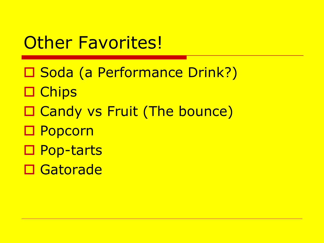#### **Other Favorites!**

□ Soda (a Performance Drink?) □ Chips □ Candy vs Fruit (The bounce) □ Popcorn □ Pop-tarts **□ Gatorade**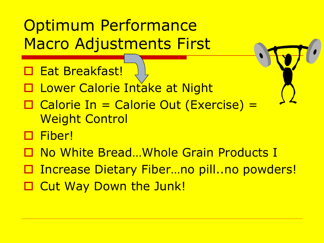#### Optimum Performance Macro Adjustments First

- □ Eat Breakfast!
- □ Lower Calorie Intake at Night
- □ Calorie In = Calorie Out (Exercise) = Weight Control
- □ Fiber!
- □ No White Bread...Whole Grain Products I
- Increase Dietary Fiber…no pill..no powders!
- □ Cut Way Down the Junk!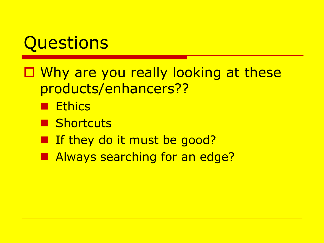# **Questions**

- □ Why are you really looking at these products/enhancers??
	- **Ethics**
	- **B** Shortcuts
	- **If they do it must be good?**
	- **Always searching for an edge?**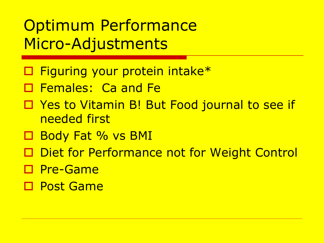#### Optimum Performance Micro-Adjustments

- □ Figuring your protein intake<sup>\*</sup>
- **D** Females: Ca and Fe
- □ Yes to Vitamin B! But Food journal to see if needed first
- □ Body Fat % vs BMI
- □ Diet for Performance not for Weight Control
- □ Pre-Game
- **D** Post Game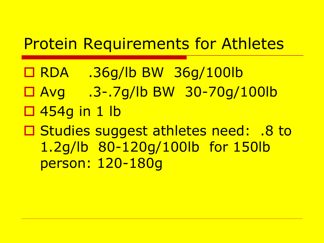#### Protein Requirements for Athletes

- RDA .36g/lb BW 36g/100lb
- Avg .3-.7g/lb BW 30-70g/100lb
- $\Box$  454g in 1 lb

□ Studies suggest athletes need: .8 to 1.2g/lb 80-120g/100lb for 150lb person: 120-180g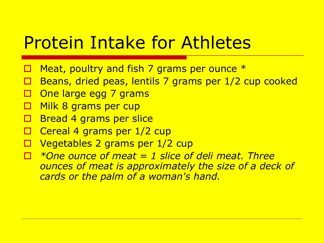## Protein Intake for Athletes

- Meat, poultry and fish 7 grams per ounce  $*$
- Beans, dried peas, lentils 7 grams per 1/2 cup cooked
- One large egg 7 grams
- Milk 8 grams per cup
- Bread 4 grams per slice
- Cereal 4 grams per 1/2 cup
- Vegetables 2 grams per 1/2 cup
- *\*One ounce of meat = 1 slice of deli meat. Three ounces of meat is approximately the size of a deck of cards or the palm of a woman's hand.*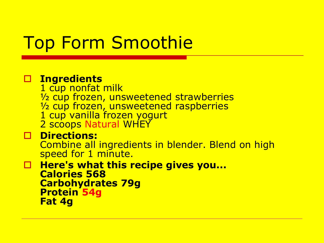# Top Form Smoothie

#### **Ingredients**

1 cup nonfat milk ½ cup frozen, unsweetened strawberries 1/<sub>2</sub> cup frozen, unsweetened raspberries 1 cup vanilla frozen yogurt 2 scoops Natural WHEY

#### **Directions:**

Combine all ingredients in blender. Blend on high speed for 1 minute.

**Here's what this recipe gives you... Calories 568 Carbohydrates 79g Protein 54g Fat 4g**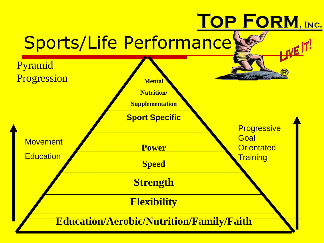